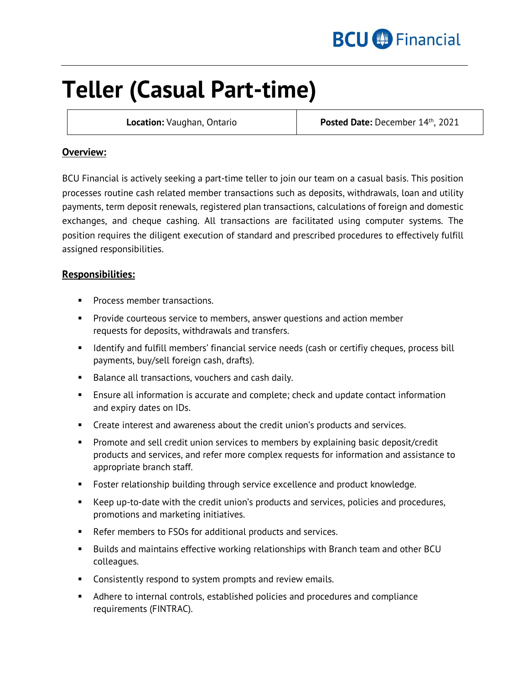

# **Teller (Casual Part-time)**

**Location:** Vaughan, Ontario **Posted Date:** December 14th, 2021

## **Overview:**

BCU Financial is actively seeking a part-time teller to join our team on a casual basis. This position processes routine cash related member transactions such as deposits, withdrawals, loan and utility payments, term deposit renewals, registered plan transactions, calculations of foreign and domestic exchanges, and cheque cashing. All transactions are facilitated using computer systems. The position requires the diligent execution of standard and prescribed procedures to effectively fulfill assigned responsibilities.

## **Responsibilities:**

- **Process member transactions.**
- **Provide courteous service to members, answer questions and action member** requests for deposits, withdrawals and transfers.
- **If the Identify and fulfill members' financial service needs (cash or certifiy cheques, process bill** payments, buy/sell foreign cash, drafts).
- Balance all transactions, vouchers and cash daily.
- Ensure all information is accurate and complete; check and update contact information and expiry dates on IDs.
- Create interest and awareness about the credit union's products and services.
- Promote and sell credit union services to members by explaining basic deposit/credit products and services, and refer more complex requests for information and assistance to appropriate branch staff.
- **Foster relationship building through service excellence and product knowledge.**
- Keep up-to-date with the credit union's products and services, policies and procedures, promotions and marketing initiatives.
- Refer members to FSOs for additional products and services.
- Builds and maintains effective working relationships with Branch team and other BCU colleagues.
- **Consistently respond to system prompts and review emails.**
- Adhere to internal controls, established policies and procedures and compliance requirements (FINTRAC).